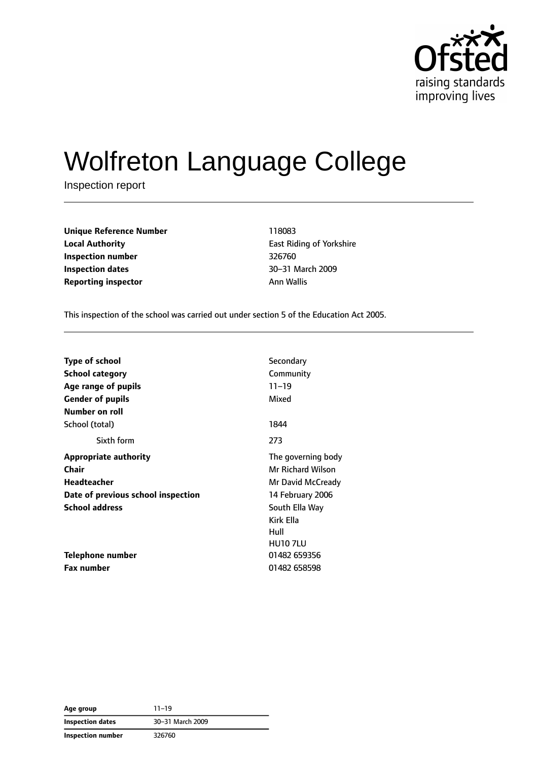

# Wolfreton Language College

Inspection report

| <b>Unique Reference Number</b><br><b>Local Authority</b><br>Inspection number<br><b>Inspection dates</b> | 118083     |
|----------------------------------------------------------------------------------------------------------|------------|
|                                                                                                          | East Rio   |
|                                                                                                          | 326760     |
|                                                                                                          | $30 - 311$ |
| <b>Reporting inspector</b>                                                                               | Ann Wa     |

**East Riding of Yorkshire Inspection number** 326760 **Inspection dates** 30–31 March 2009 **Ann Wallis** 

This inspection of the school was carried out under section 5 of the Education Act 2005.

| <b>Type of school</b>              | Secondary                |
|------------------------------------|--------------------------|
| <b>School category</b>             | Community                |
| Age range of pupils                | $11 - 19$                |
| <b>Gender of pupils</b>            | Mixed                    |
| Number on roll                     |                          |
| School (total)                     | 1844                     |
| Sixth form                         | 273                      |
| <b>Appropriate authority</b>       | The governing body       |
| Chair                              | <b>Mr Richard Wilson</b> |
| Headteacher                        | Mr David McCready        |
| Date of previous school inspection | 14 February 2006         |
| <b>School address</b>              | South Ella Way           |
|                                    | Kirk Ella                |
|                                    | Hull                     |
|                                    | <b>HU107LU</b>           |
| Telephone number                   | 01482 659356             |
| <b>Fax number</b>                  | 01482 658598             |

**Age group** 11–19 **Inspection dates** 30–31 March 2009 **Inspection number** 326760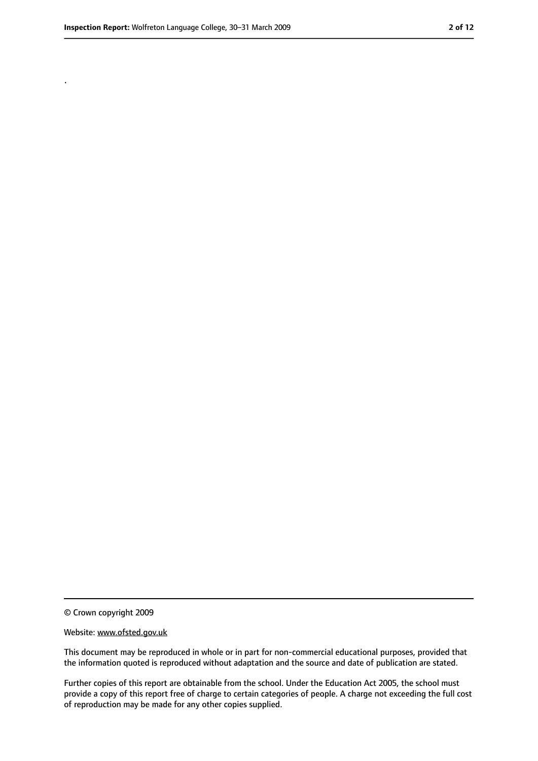.

<sup>©</sup> Crown copyright 2009

Website: www.ofsted.gov.uk

This document may be reproduced in whole or in part for non-commercial educational purposes, provided that the information quoted is reproduced without adaptation and the source and date of publication are stated.

Further copies of this report are obtainable from the school. Under the Education Act 2005, the school must provide a copy of this report free of charge to certain categories of people. A charge not exceeding the full cost of reproduction may be made for any other copies supplied.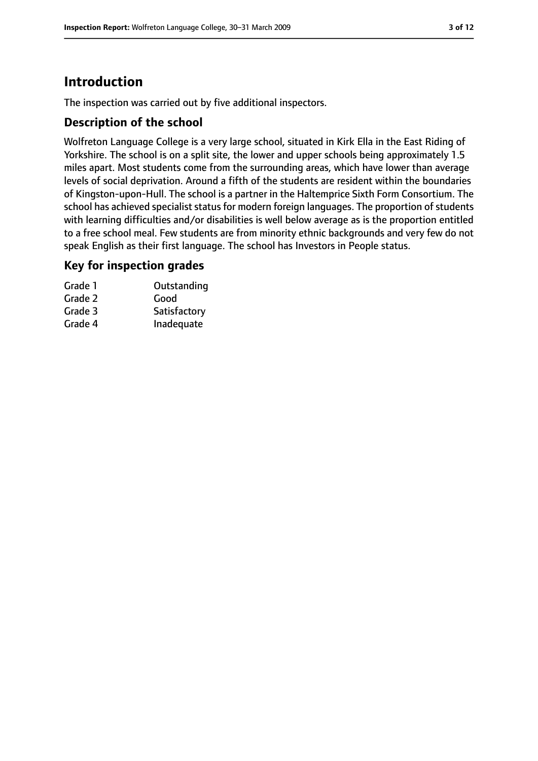# **Introduction**

The inspection was carried out by five additional inspectors.

#### **Description of the school**

Wolfreton Language College is a very large school, situated in Kirk Ella in the East Riding of Yorkshire. The school is on a split site, the lower and upper schools being approximately 1.5 miles apart. Most students come from the surrounding areas, which have lower than average levels of social deprivation. Around a fifth of the students are resident within the boundaries of Kingston-upon-Hull. The school is a partner in the Haltemprice Sixth Form Consortium. The school has achieved specialist status for modern foreign languages. The proportion of students with learning difficulties and/or disabilities is well below average as is the proportion entitled to a free school meal. Few students are from minority ethnic backgrounds and very few do not speak English as their first language. The school has Investors in People status.

#### **Key for inspection grades**

| Grade 1 | Outstanding  |
|---------|--------------|
| Grade 2 | Good         |
| Grade 3 | Satisfactory |
| Grade 4 | Inadequate   |
|         |              |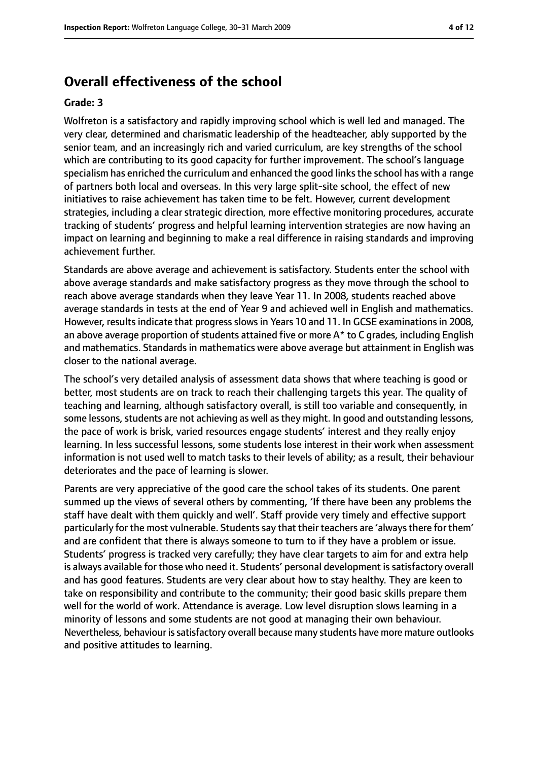### **Overall effectiveness of the school**

#### **Grade: 3**

Wolfreton is a satisfactory and rapidly improving school which is well led and managed. The very clear, determined and charismatic leadership of the headteacher, ably supported by the senior team, and an increasingly rich and varied curriculum, are key strengths of the school which are contributing to its good capacity for further improvement. The school's language specialism has enriched the curriculum and enhanced the good links the school has with a range of partners both local and overseas. In this very large split-site school, the effect of new initiatives to raise achievement has taken time to be felt. However, current development strategies, including a clear strategic direction, more effective monitoring procedures, accurate tracking of students' progress and helpful learning intervention strategies are now having an impact on learning and beginning to make a real difference in raising standards and improving achievement further.

Standards are above average and achievement is satisfactory. Students enter the school with above average standards and make satisfactory progress as they move through the school to reach above average standards when they leave Year 11. In 2008, students reached above average standards in tests at the end of Year 9 and achieved well in English and mathematics. However, results indicate that progress slows in Years 10 and 11. In GCSE examinations in 2008, an above average proportion of students attained five or more  $A^*$  to C grades, including English and mathematics. Standards in mathematics were above average but attainment in English was closer to the national average.

The school's very detailed analysis of assessment data shows that where teaching is good or better, most students are on track to reach their challenging targets this year. The quality of teaching and learning, although satisfactory overall, is still too variable and consequently, in some lessons, students are not achieving as well as they might. In good and outstanding lessons, the pace of work is brisk, varied resources engage students' interest and they really enjoy learning. In less successful lessons, some students lose interest in their work when assessment information is not used well to match tasks to their levels of ability; as a result, their behaviour deteriorates and the pace of learning is slower.

Parents are very appreciative of the good care the school takes of its students. One parent summed up the views of several others by commenting, 'If there have been any problems the staff have dealt with them quickly and well'. Staff provide very timely and effective support particularly for the most vulnerable. Students say that their teachers are 'always there for them' and are confident that there is always someone to turn to if they have a problem or issue. Students' progress is tracked very carefully; they have clear targets to aim for and extra help is always available for those who need it. Students' personal development issatisfactory overall and has good features. Students are very clear about how to stay healthy. They are keen to take on responsibility and contribute to the community; their good basic skills prepare them well for the world of work. Attendance is average. Low level disruption slows learning in a minority of lessons and some students are not good at managing their own behaviour. Nevertheless, behaviour is satisfactory overall because many students have more mature outlooks and positive attitudes to learning.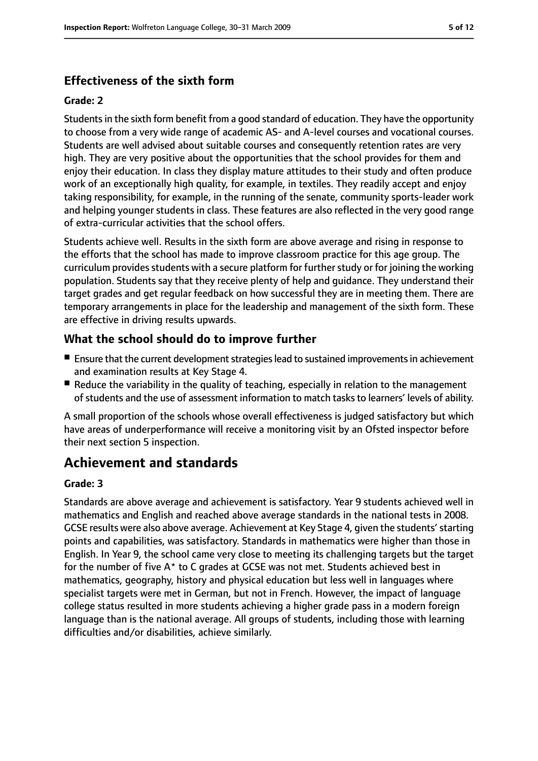#### **Effectiveness of the sixth form**

#### **Grade: 2**

Students in the sixth form benefit from a good standard of education. They have the opportunity to choose from a very wide range of academic AS- and A-level courses and vocational courses. Students are well advised about suitable courses and consequently retention rates are very high. They are very positive about the opportunities that the school provides for them and enjoy their education. In class they display mature attitudes to their study and often produce work of an exceptionally high quality, for example, in textiles. They readily accept and enjoy taking responsibility, for example, in the running of the senate, community sports-leader work and helping younger students in class. These features are also reflected in the very good range of extra-curricular activities that the school offers.

Students achieve well. Results in the sixth form are above average and rising in response to the efforts that the school has made to improve classroom practice for this age group. The curriculum provides students with a secure platform for further study or for joining the working population. Students say that they receive plenty of help and guidance. They understand their target grades and get regular feedback on how successful they are in meeting them. There are temporary arrangements in place for the leadership and management of the sixth form. These are effective in driving results upwards.

#### **What the school should do to improve further**

- Ensure that the current development strategies lead to sustained improvements in achievement and examination results at Key Stage 4.
- Reduce the variability in the quality of teaching, especially in relation to the management of students and the use of assessment information to match tasks to learners' levels of ability.

A small proportion of the schools whose overall effectiveness is judged satisfactory but which have areas of underperformance will receive a monitoring visit by an Ofsted inspector before their next section 5 inspection.

# **Achievement and standards**

#### **Grade: 3**

Standards are above average and achievement is satisfactory. Year 9 students achieved well in mathematics and English and reached above average standards in the national tests in 2008. GCSE results were also above average. Achievement at Key Stage 4, given the students'starting points and capabilities, was satisfactory. Standards in mathematics were higher than those in English. In Year 9, the school came very close to meeting its challenging targets but the target for the number of five A\* to C grades at GCSE was not met. Students achieved best in mathematics, geography, history and physical education but less well in languages where specialist targets were met in German, but not in French. However, the impact of language college status resulted in more students achieving a higher grade pass in a modern foreign language than is the national average. All groups of students, including those with learning difficulties and/or disabilities, achieve similarly.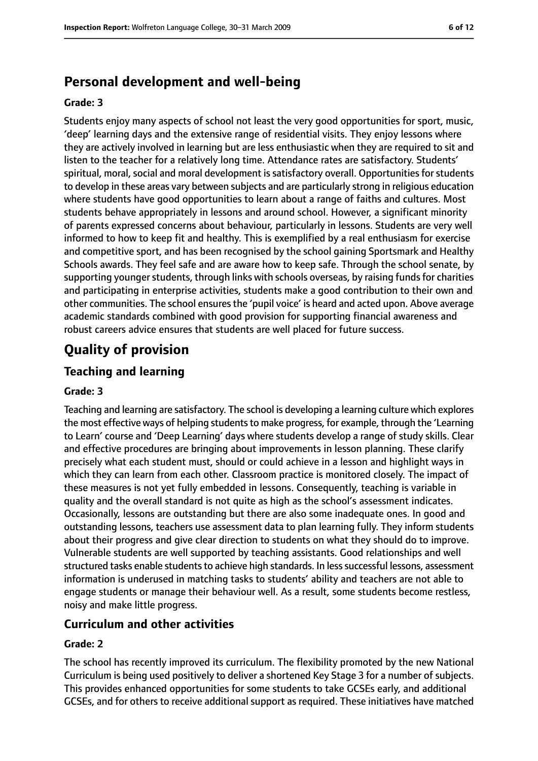# **Personal development and well-being**

#### **Grade: 3**

Students enjoy many aspects of school not least the very good opportunities for sport, music, 'deep' learning days and the extensive range of residential visits. They enjoy lessons where they are actively involved in learning but are less enthusiastic when they are required to sit and listen to the teacher for a relatively long time. Attendance rates are satisfactory. Students' spiritual, moral, social and moral development is satisfactory overall. Opportunities for students to develop in these areas vary between subjects and are particularly strong in religious education where students have good opportunities to learn about a range of faiths and cultures. Most students behave appropriately in lessons and around school. However, a significant minority of parents expressed concerns about behaviour, particularly in lessons. Students are very well informed to how to keep fit and healthy. This is exemplified by a real enthusiasm for exercise and competitive sport, and has been recognised by the school gaining Sportsmark and Healthy Schools awards. They feel safe and are aware how to keep safe. Through the school senate, by supporting younger students, through links with schools overseas, by raising funds for charities and participating in enterprise activities, students make a good contribution to their own and other communities. The school ensuresthe 'pupil voice' is heard and acted upon. Above average academic standards combined with good provision for supporting financial awareness and robust careers advice ensures that students are well placed for future success.

# **Quality of provision**

#### **Teaching and learning**

#### **Grade: 3**

Teaching and learning are satisfactory. The school is developing a learning culture which explores the most effective ways of helping students to make progress, for example, through the 'Learning to Learn' course and 'Deep Learning' days where students develop a range of study skills. Clear and effective procedures are bringing about improvements in lesson planning. These clarify precisely what each student must, should or could achieve in a lesson and highlight ways in which they can learn from each other. Classroom practice is monitored closely. The impact of these measures is not yet fully embedded in lessons. Consequently, teaching is variable in quality and the overall standard is not quite as high as the school's assessment indicates. Occasionally, lessons are outstanding but there are also some inadequate ones. In good and outstanding lessons, teachers use assessment data to plan learning fully. They inform students about their progress and give clear direction to students on what they should do to improve. Vulnerable students are well supported by teaching assistants. Good relationships and well structured tasks enable students to achieve high standards. In less successful lessons, assessment information is underused in matching tasks to students' ability and teachers are not able to engage students or manage their behaviour well. As a result, some students become restless, noisy and make little progress.

#### **Curriculum and other activities**

#### **Grade: 2**

The school has recently improved its curriculum. The flexibility promoted by the new National Curriculum is being used positively to deliver a shortened Key Stage 3 for a number of subjects. This provides enhanced opportunities for some students to take GCSEs early, and additional GCSEs, and for others to receive additional support as required. These initiatives have matched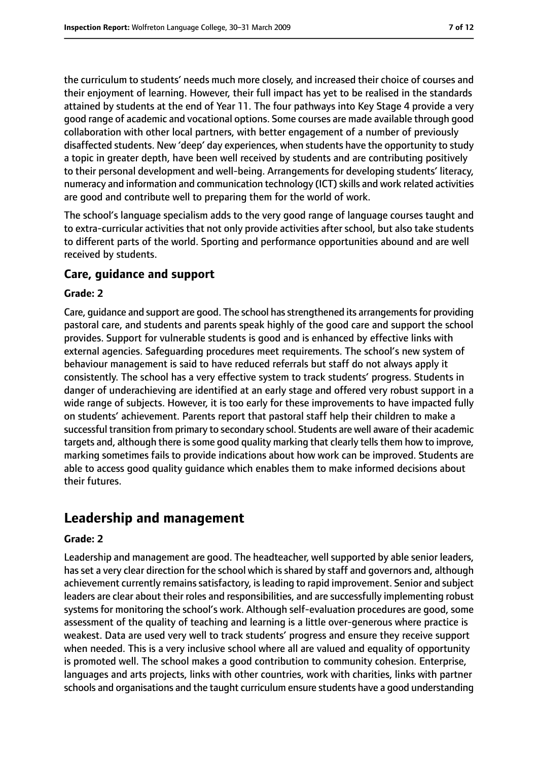the curriculum to students' needs much more closely, and increased their choice of courses and their enjoyment of learning. However, their full impact has yet to be realised in the standards attained by students at the end of Year 11. The four pathways into Key Stage 4 provide a very good range of academic and vocational options. Some courses are made available through good collaboration with other local partners, with better engagement of a number of previously disaffected students. New 'deep' day experiences, when students have the opportunity to study a topic in greater depth, have been well received by students and are contributing positively to their personal development and well-being. Arrangements for developing students' literacy, numeracy and information and communication technology (ICT) skills and work related activities are good and contribute well to preparing them for the world of work.

The school's language specialism adds to the very good range of language courses taught and to extra-curricular activities that not only provide activities after school, but also take students to different parts of the world. Sporting and performance opportunities abound and are well received by students.

#### **Care, guidance and support**

#### **Grade: 2**

Care, quidance and support are good. The school has strengthened its arrangements for providing pastoral care, and students and parents speak highly of the good care and support the school provides. Support for vulnerable students is good and is enhanced by effective links with external agencies. Safeguarding procedures meet requirements. The school's new system of behaviour management is said to have reduced referrals but staff do not always apply it consistently. The school has a very effective system to track students' progress. Students in danger of underachieving are identified at an early stage and offered very robust support in a wide range of subjects. However, it is too early for these improvements to have impacted fully on students' achievement. Parents report that pastoral staff help their children to make a successful transition from primary to secondary school. Students are well aware of their academic targets and, although there is some good quality marking that clearly tells them how to improve, marking sometimes fails to provide indications about how work can be improved. Students are able to access good quality guidance which enables them to make informed decisions about their futures.

# **Leadership and management**

#### **Grade: 2**

Leadership and management are good. The headteacher, well supported by able senior leaders, has set a very clear direction for the school which is shared by staff and governors and, although achievement currently remains satisfactory, is leading to rapid improvement. Senior and subject leaders are clear about their roles and responsibilities, and are successfully implementing robust systems for monitoring the school's work. Although self-evaluation procedures are good, some assessment of the quality of teaching and learning is a little over-generous where practice is weakest. Data are used very well to track students' progress and ensure they receive support when needed. This is a very inclusive school where all are valued and equality of opportunity is promoted well. The school makes a good contribution to community cohesion. Enterprise, languages and arts projects, links with other countries, work with charities, links with partner schools and organisations and the taught curriculum ensure students have a good understanding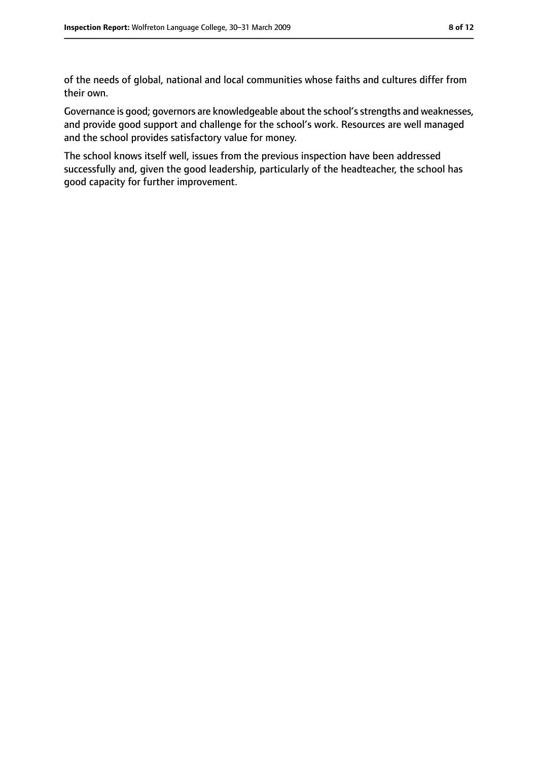of the needs of global, national and local communities whose faiths and cultures differ from their own.

Governance is good; governors are knowledgeable about the school's strengths and weaknesses, and provide good support and challenge for the school's work. Resources are well managed and the school provides satisfactory value for money.

The school knows itself well, issues from the previous inspection have been addressed successfully and, given the good leadership, particularly of the headteacher, the school has good capacity for further improvement.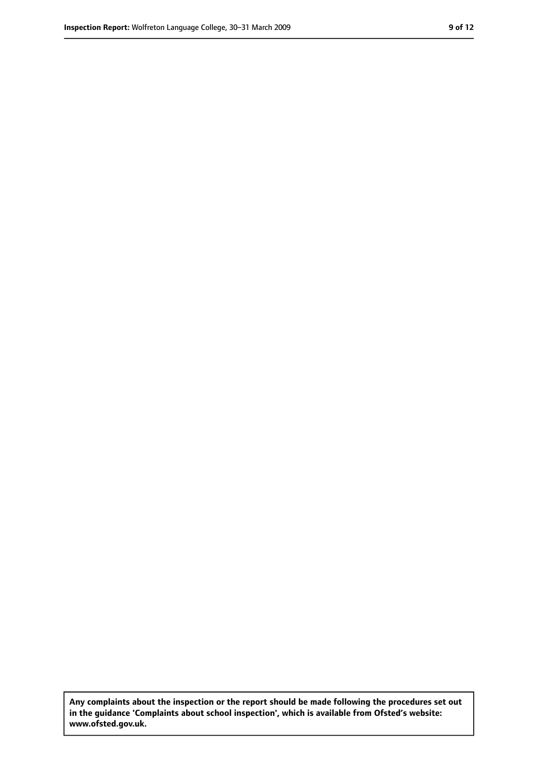**Any complaints about the inspection or the report should be made following the procedures set out in the guidance 'Complaints about school inspection', which is available from Ofsted's website: www.ofsted.gov.uk.**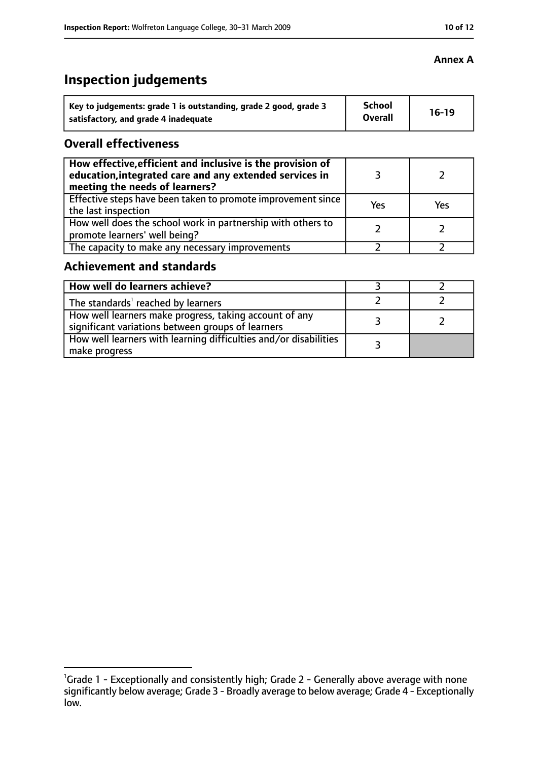# **Inspection judgements**

| Key to judgements: grade 1 is outstanding, grade 2 good, grade 3 | <b>School</b>  | $16-19$ |
|------------------------------------------------------------------|----------------|---------|
| satisfactory, and grade 4 inadequate                             | <b>Overall</b> |         |

#### **Overall effectiveness**

| How effective, efficient and inclusive is the provision of<br>education, integrated care and any extended services in<br>meeting the needs of learners? |     |     |
|---------------------------------------------------------------------------------------------------------------------------------------------------------|-----|-----|
| Effective steps have been taken to promote improvement since<br>the last inspection                                                                     | Yes | Yes |
| How well does the school work in partnership with others to<br>promote learners' well being?                                                            |     |     |
| The capacity to make any necessary improvements                                                                                                         |     |     |

#### **Achievement and standards**

| How well do learners achieve?                                                                               |  |
|-------------------------------------------------------------------------------------------------------------|--|
| The standards <sup>1</sup> reached by learners                                                              |  |
| How well learners make progress, taking account of any<br>significant variations between groups of learners |  |
| How well learners with learning difficulties and/or disabilities<br>make progress                           |  |

#### **Annex A**

<sup>&</sup>lt;sup>1</sup>Grade 1 - Exceptionally and consistently high; Grade 2 - Generally above average with none significantly below average; Grade 3 - Broadly average to below average; Grade 4 - Exceptionally low.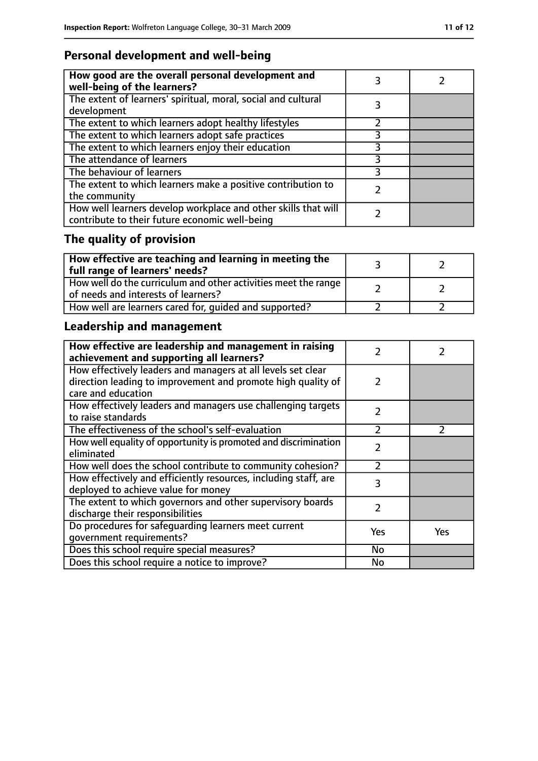# **Personal development and well-being**

| How good are the overall personal development and<br>well-being of the learners?                                 |  |
|------------------------------------------------------------------------------------------------------------------|--|
| The extent of learners' spiritual, moral, social and cultural<br>development                                     |  |
| The extent to which learners adopt healthy lifestyles                                                            |  |
| The extent to which learners adopt safe practices                                                                |  |
| The extent to which learners enjoy their education                                                               |  |
| The attendance of learners                                                                                       |  |
| The behaviour of learners                                                                                        |  |
| The extent to which learners make a positive contribution to<br>the community                                    |  |
| How well learners develop workplace and other skills that will<br>contribute to their future economic well-being |  |

# **The quality of provision**

| $\mid$ How effective are teaching and learning in meeting the<br>full range of learners' needs?       |  |
|-------------------------------------------------------------------------------------------------------|--|
| How well do the curriculum and other activities meet the range<br>of needs and interests of learners? |  |
| How well are learners cared for, quided and supported?                                                |  |

# **Leadership and management**

| How effective are leadership and management in raising<br>achievement and supporting all learners?                           | 2             |               |
|------------------------------------------------------------------------------------------------------------------------------|---------------|---------------|
| How effectively leaders and managers at all levels set clear<br>direction leading to improvement and promote high quality of | 2             |               |
| care and education                                                                                                           |               |               |
| How effectively leaders and managers use challenging targets<br>to raise standards                                           | $\mathcal{P}$ |               |
| The effectiveness of the school's self-evaluation                                                                            | $\mathcal{P}$ | $\mathcal{P}$ |
| How well equality of opportunity is promoted and discrimination<br>eliminated                                                | 2             |               |
| How well does the school contribute to community cohesion?                                                                   | າ             |               |
| How effectively and efficiently resources, including staff, are<br>deployed to achieve value for money                       | 3             |               |
| The extent to which governors and other supervisory boards<br>discharge their responsibilities                               | $\mathcal{P}$ |               |
| Do procedures for safequarding learners meet current<br>qovernment requirements?                                             | Yes           | Yes           |
| Does this school require special measures?                                                                                   | <b>No</b>     |               |
| Does this school require a notice to improve?                                                                                | No            |               |